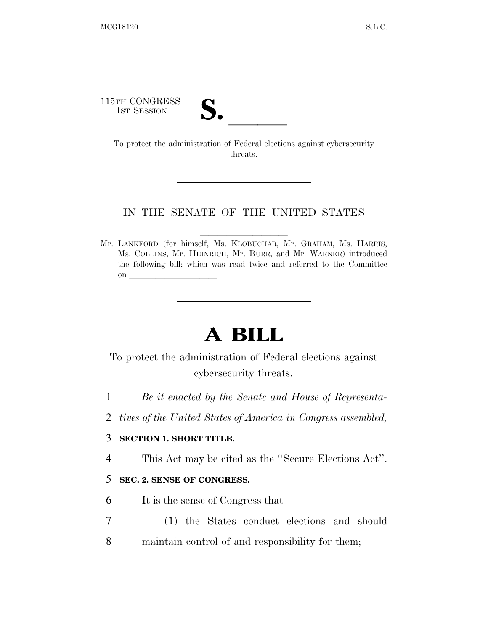115TH CONGRESS

TH CONGRESS<br>
1ST SESSION<br>
To protect the administration of Federal elections against cybersecurity threats.

### IN THE SENATE OF THE UNITED STATES

Mr. LANKFORD (for himself, Ms. KLOBUCHAR, Mr. GRAHAM, Ms. HARRIS, Ms. COLLINS, Mr. HEINRICH, Mr. BURR, and Mr. WARNER) introduced the following bill; which was read twice and referred to the Committee on  $\overline{\qquad \qquad }$ 

# **A BILL**

To protect the administration of Federal elections against cybersecurity threats.

- 1 *Be it enacted by the Senate and House of Representa-*
- 2 *tives of the United States of America in Congress assembled,*

## 3 **SECTION 1. SHORT TITLE.**

4 This Act may be cited as the ''Secure Elections Act''.

## 5 **SEC. 2. SENSE OF CONGRESS.**

- 6 It is the sense of Congress that—
- 7 (1) the States conduct elections and should 8 maintain control of and responsibility for them;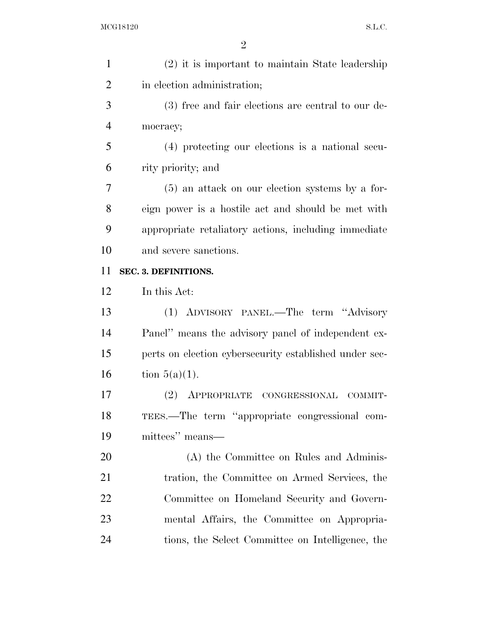| $\mathbf{1}$   | $(2)$ it is important to maintain State leadership     |
|----------------|--------------------------------------------------------|
| $\overline{2}$ | in election administration;                            |
| 3              | (3) free and fair elections are central to our de-     |
| $\overline{4}$ | mocracy;                                               |
| 5              | (4) protecting our elections is a national secu-       |
| 6              | rity priority; and                                     |
| 7              | $(5)$ an attack on our election systems by a for-      |
| 8              | eign power is a hostile act and should be met with     |
| 9              | appropriate retaliatory actions, including immediate   |
| 10             | and severe sanctions.                                  |
| 11             | SEC. 3. DEFINITIONS.                                   |
| 12             | In this Act:                                           |
| 13             | (1) ADVISORY PANEL.—The term "Advisory                 |
| 14             | Panel" means the advisory panel of independent ex-     |
| 15             | perts on election cybersecurity established under sec- |
| 16             | tion $5(a)(1)$ .                                       |
| 17             | (2)<br>APPROPRIATE<br>CONGRESSIONAL<br>COMMIT-         |
| 18             | TEES.—The term "appropriate congressional com-         |
| 19             | mittees" means—                                        |
| 20             | (A) the Committee on Rules and Adminis-                |
| 21             | tration, the Committee on Armed Services, the          |
| 22             | Committee on Homeland Security and Govern-             |
| 23             | mental Affairs, the Committee on Appropria-            |
|                |                                                        |
| 24             | tions, the Select Committee on Intelligence, the       |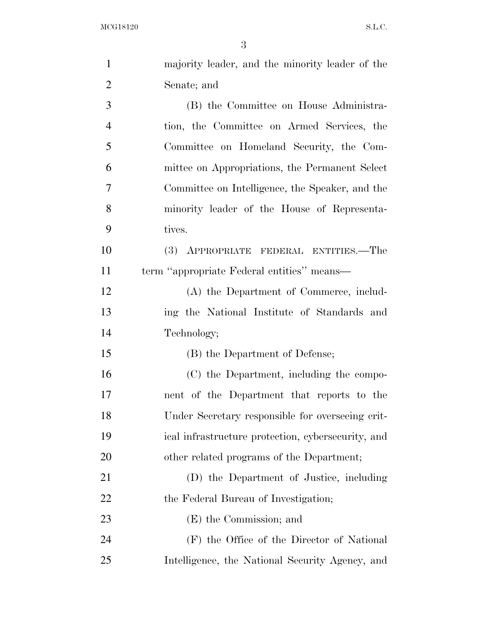| $\mathbf{1}$   | majority leader, and the minority leader of the    |
|----------------|----------------------------------------------------|
| $\overline{2}$ | Senate; and                                        |
| 3              | (B) the Committee on House Administra-             |
| $\overline{4}$ | tion, the Committee on Armed Services, the         |
| 5              | Committee on Homeland Security, the Com-           |
| 6              | mittee on Appropriations, the Permanent Select     |
| $\tau$         | Committee on Intelligence, the Speaker, and the    |
| 8              | minority leader of the House of Representa-        |
| 9              | tives.                                             |
| 10             | (3) APPROPRIATE FEDERAL ENTITIES.—The              |
| 11             | term "appropriate Federal entities" means—         |
| 12             | (A) the Department of Commerce, includ-            |
| 13             | ing the National Institute of Standards and        |
| 14             | Technology;                                        |
| 15             | (B) the Department of Defense;                     |
| 16             | (C) the Department, including the compo-           |
| 17             | nent of the Department that reports to the         |
| 18             | Under Secretary responsible for overseeing crit-   |
| 19             | ical infrastructure protection, cybersecurity, and |
| 20             | other related programs of the Department;          |
| 21             | (D) the Department of Justice, including           |
| 22             | the Federal Bureau of Investigation;               |
| 23             | (E) the Commission; and                            |
| 24             | (F) the Office of the Director of National         |
| 25             | Intelligence, the National Security Agency, and    |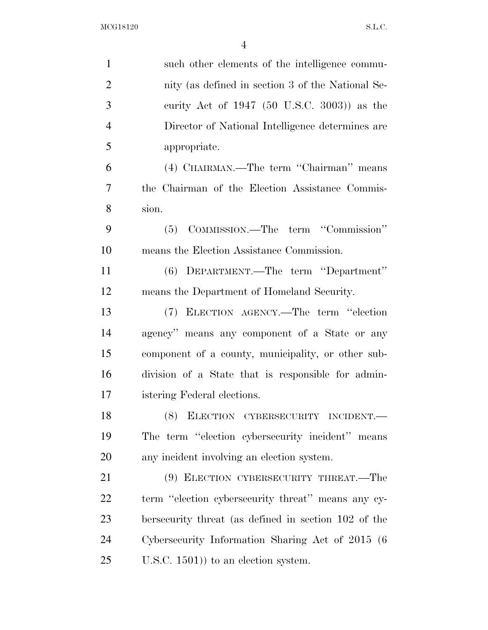| $\mathbf{1}$   | such other elements of the intelligence commu-       |
|----------------|------------------------------------------------------|
| $\overline{2}$ | nity (as defined in section 3 of the National Se-    |
| 3              | curity Act of 1947 (50 U.S.C. 3003)) as the          |
| $\overline{4}$ | Director of National Intelligence determines are     |
| 5              | appropriate.                                         |
| 6              | (4) CHAIRMAN.—The term "Chairman" means              |
| 7              | the Chairman of the Election Assistance Commis-      |
| 8              | sion.                                                |
| 9              | (5) COMMISSION.—The term "Commission"                |
| 10             | means the Election Assistance Commission.            |
| 11             | (6) DEPARTMENT.—The term "Department"                |
| 12             | means the Department of Homeland Security.           |
| 13             | (7) ELECTION AGENCY.—The term "election              |
| 14             | agency" means any component of a State or any        |
| 15             | component of a county, municipality, or other sub-   |
| 16             | division of a State that is responsible for admin-   |
| 17             | istering Federal elections.                          |
| 18             | $(8)$ ELECTION CYBERSECURITY INCIDENT.               |
| 19             | The term "election cybersecurity incident" means     |
| 20             | any incident involving an election system.           |
| 21             | (9) ELECTION CYBERSECURITY THREAT.—The               |
| 22             | term "election cybersecurity threat" means any cy-   |
| 23             | bersecurity threat (as defined in section 102 of the |
| 24             | Cybersecurity Information Sharing Act of 2015 (6)    |
| 25             | $($ U.S.C. 1501) to an election system.              |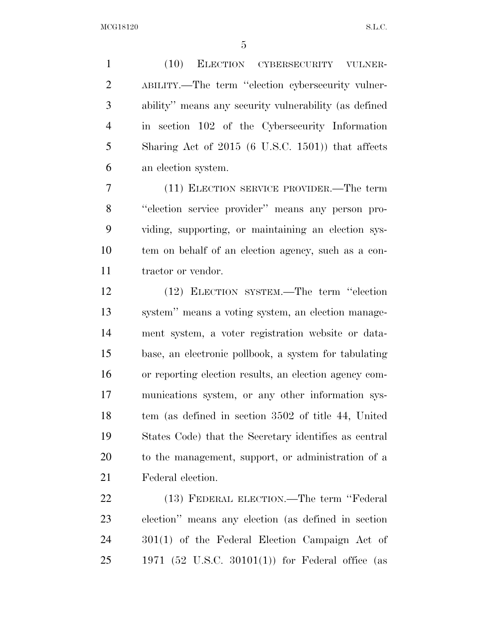(10) ELECTION CYBERSECURITY VULNER- ABILITY.—The term ''election cybersecurity vulner- ability'' means any security vulnerability (as defined in section 102 of the Cybersecurity Information Sharing Act of 2015 (6 U.S.C. 1501)) that affects an election system.

 (11) ELECTION SERVICE PROVIDER.—The term ''election service provider'' means any person pro- viding, supporting, or maintaining an election sys- tem on behalf of an election agency, such as a con-11 tractor or vendor.

 (12) ELECTION SYSTEM.—The term ''election system'' means a voting system, an election manage- ment system, a voter registration website or data- base, an electronic pollbook, a system for tabulating or reporting election results, an election agency com- munications system, or any other information sys- tem (as defined in section 3502 of title 44, United States Code) that the Secretary identifies as central to the management, support, or administration of a Federal election.

 (13) FEDERAL ELECTION.—The term ''Federal election'' means any election (as defined in section 301(1) of the Federal Election Campaign Act of 1971 (52 U.S.C. 30101(1)) for Federal office (as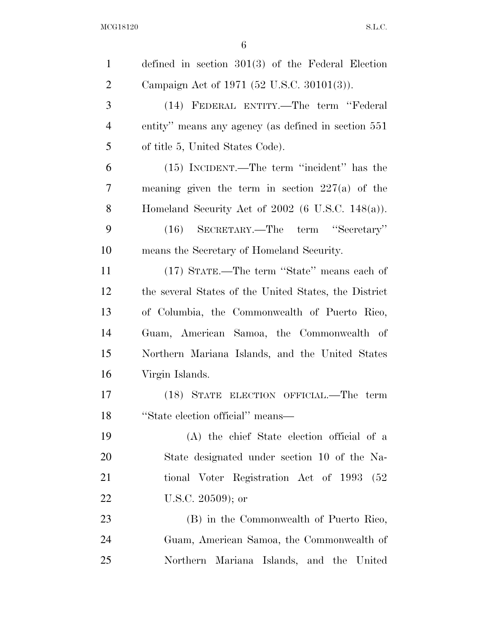$\rm MCG18120 \qquad \qquad S.L.C.$ 

| $\mathbf{1}$   | defined in section $301(3)$ of the Federal Election   |
|----------------|-------------------------------------------------------|
| $\overline{2}$ | Campaign Act of 1971 (52 U.S.C. 30101(3)).            |
| 3              | (14) FEDERAL ENTITY.—The term "Federal                |
| $\overline{4}$ | entity" means any agency (as defined in section 551   |
| 5              | of title 5, United States Code).                      |
| 6              | (15) INCIDENT.—The term "incident" has the            |
| 7              | meaning given the term in section $227(a)$ of the     |
| 8              | Homeland Security Act of $2002$ (6 U.S.C. 148(a)).    |
| 9              | (16) SECRETARY.—The term "Secretary"                  |
| 10             | means the Secretary of Homeland Security.             |
| 11             | (17) STATE.—The term "State" means each of            |
| 12             | the several States of the United States, the District |
| 13             | of Columbia, the Commonwealth of Puerto Rico,         |
| 14             | Guam, American Samoa, the Commonwealth of             |
| 15             | Northern Mariana Islands, and the United States       |
| 16             | Virgin Islands.                                       |
| 17             | (18) STATE ELECTION OFFICIAL.—The term                |
| 18             | "State election official" means-                      |
| 19             | (A) the chief State election official of a            |
| 20             | State designated under section 10 of the Na-          |
| 21             | tional Voter Registration Act of 1993 (52)            |
| 22             | U.S.C. 20509); or                                     |
| 23             | (B) in the Commonwealth of Puerto Rico,               |
| 24             | Guam, American Samoa, the Commonwealth of             |
| 25             | Northern Mariana Islands, and the United              |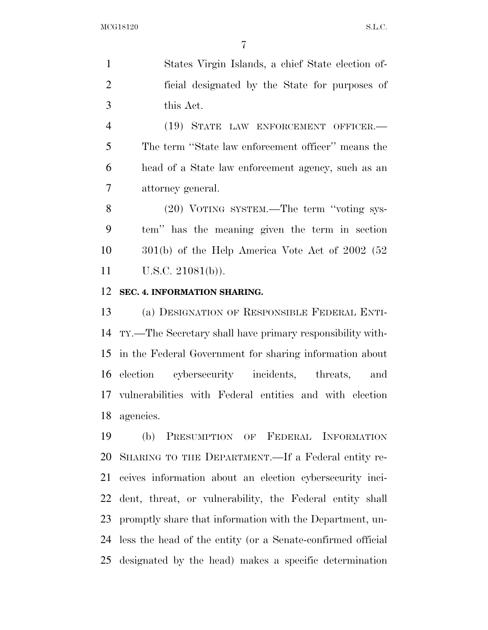States Virgin Islands, a chief State election of- ficial designated by the State for purposes of this Act.

 (19) STATE LAW ENFORCEMENT OFFICER.— The term ''State law enforcement officer'' means the head of a State law enforcement agency, such as an attorney general.

 (20) VOTING SYSTEM.—The term ''voting sys- tem'' has the meaning given the term in section 301(b) of the Help America Vote Act of 2002 (52 U.S.C. 21081(b)).

#### **SEC. 4. INFORMATION SHARING.**

 (a) DESIGNATION OF RESPONSIBLE FEDERAL ENTI- TY.—The Secretary shall have primary responsibility with- in the Federal Government for sharing information about election cybersecurity incidents, threats, and vulnerabilities with Federal entities and with election agencies.

 (b) PRESUMPTION OF FEDERAL INFORMATION SHARING TO THE DEPARTMENT.—If a Federal entity re- ceives information about an election cybersecurity inci- dent, threat, or vulnerability, the Federal entity shall promptly share that information with the Department, un- less the head of the entity (or a Senate-confirmed official designated by the head) makes a specific determination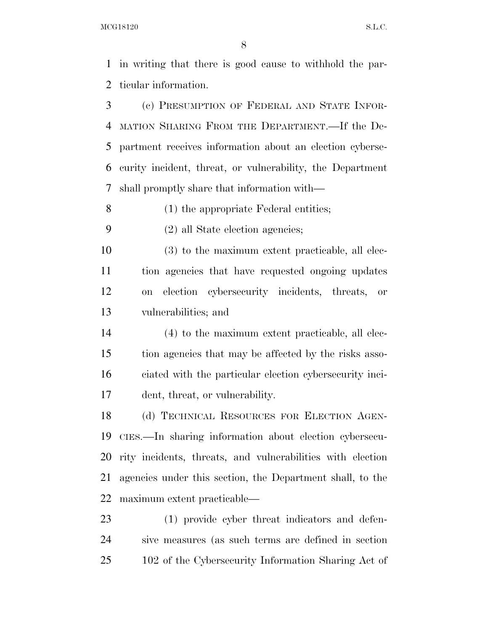in writing that there is good cause to withhold the par-ticular information.

 (c) PRESUMPTION OF FEDERAL AND STATE INFOR- MATION SHARING FROM THE DEPARTMENT.—If the De- partment receives information about an election cyberse- curity incident, threat, or vulnerability, the Department shall promptly share that information with—

(1) the appropriate Federal entities;

(2) all State election agencies;

 (3) to the maximum extent practicable, all elec- tion agencies that have requested ongoing updates on election cybersecurity incidents, threats, or vulnerabilities; and

 (4) to the maximum extent practicable, all elec- tion agencies that may be affected by the risks asso- ciated with the particular election cybersecurity inci-dent, threat, or vulnerability.

 (d) TECHNICAL RESOURCES FOR ELECTION AGEN- CIES.—In sharing information about election cybersecu- rity incidents, threats, and vulnerabilities with election agencies under this section, the Department shall, to the maximum extent practicable—

 (1) provide cyber threat indicators and defen- sive measures (as such terms are defined in section 102 of the Cybersecurity Information Sharing Act of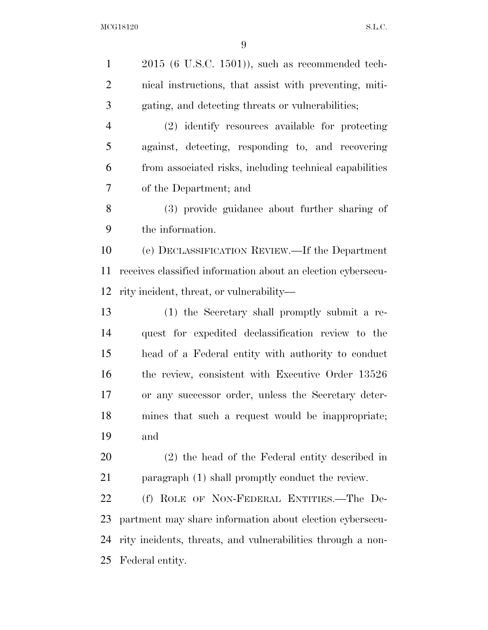2015 (6 U.S.C. 1501)), such as recommended tech- nical instructions, that assist with preventing, miti- gating, and detecting threats or vulnerabilities; (2) identify resources available for protecting against, detecting, responding to, and recovering from associated risks, including technical capabilities of the Department; and (3) provide guidance about further sharing of the information. (e) DECLASSIFICATION REVIEW.—If the Department receives classified information about an election cybersecu- rity incident, threat, or vulnerability— (1) the Secretary shall promptly submit a re- quest for expedited declassification review to the head of a Federal entity with authority to conduct 16 the review, consistent with Executive Order 13526 or any successor order, unless the Secretary deter- mines that such a request would be inappropriate; and (2) the head of the Federal entity described in paragraph (1) shall promptly conduct the review. (f) ROLE OF NON-FEDERAL ENTITIES.—The De- partment may share information about election cybersecu-rity incidents, threats, and vulnerabilities through a non-

Federal entity.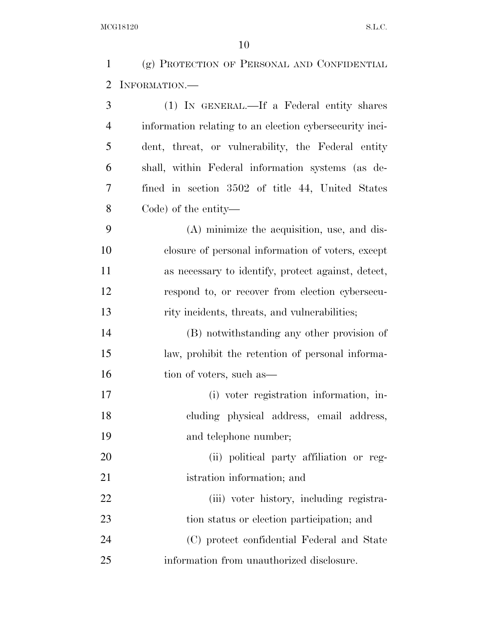| $\mathbf{1}$   | (g) PROTECTION OF PERSONAL AND CONFIDENTIAL             |
|----------------|---------------------------------------------------------|
| 2              | INFORMATION.                                            |
| 3              | (1) IN GENERAL.—If a Federal entity shares              |
| $\overline{4}$ | information relating to an election cybersecurity inci- |
| 5              | dent, threat, or vulnerability, the Federal entity      |
| 6              | shall, within Federal information systems (as de-       |
| 7              | fined in section 3502 of title 44, United States        |
| $8\,$          | Code) of the entity—                                    |
| 9              | (A) minimize the acquisition, use, and dis-             |
| 10             | closure of personal information of voters, except       |
| 11             | as necessary to identify, protect against, detect,      |
| 12             | respond to, or recover from election cybersecu-         |
| 13             | rity incidents, threats, and vulnerabilities;           |
| 14             | (B) notwithstanding any other provision of              |
| 15             | law, prohibit the retention of personal informa-        |
| 16             | tion of voters, such as—                                |
| 17             | (i) voter registration information, in-                 |
| 18             | cluding physical address, email address,                |
| 19             | and telephone number;                                   |
| 20             | (ii) political party affiliation or reg-                |
| 21             | istration information; and                              |
| 22             | (iii) voter history, including registra-                |
| 23             | tion status or election participation; and              |
| 24             | (C) protect confidential Federal and State              |
| 25             | information from unauthorized disclosure.               |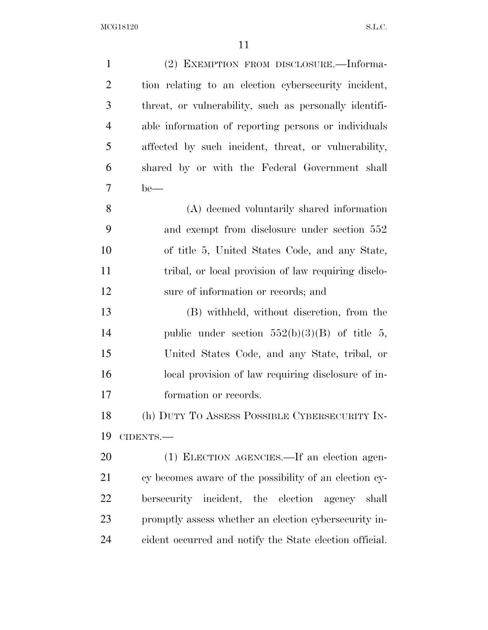| $\mathbf{1}$   | (2) EXEMPTION FROM DISCLOSURE.—Informa-                 |
|----------------|---------------------------------------------------------|
| $\overline{2}$ | tion relating to an election cybersecurity incident,    |
| 3              | threat, or vulnerability, such as personally identifi-  |
| $\overline{4}$ | able information of reporting persons or individuals    |
| 5              | affected by such incident, threat, or vulnerability,    |
| 6              | shared by or with the Federal Government shall          |
| 7              | $be$ —                                                  |
| 8              | (A) deemed voluntarily shared information               |
| 9              | and exempt from disclosure under section 552            |
| 10             | of title 5, United States Code, and any State,          |
| 11             | tribal, or local provision of law requiring disclo-     |
| 12             | sure of information or records; and                     |
| 13             | (B) withheld, without discretion, from the              |
| 14             | public under section $552(b)(3)(B)$ of title 5,         |
| 15             | United States Code, and any State, tribal, or           |
| 16             | local provision of law requiring disclosure of in-      |
| 17             | formation or records.                                   |
| 18             | (h) DUTY TO ASSESS POSSIBLE CYBERSECURITY IN-           |
| 19             | CIDENTS.-                                               |
| 20             | (1) ELECTION AGENCIES.—If an election agen-             |
| 21             | cy becomes aware of the possibility of an election cy-  |
| 22             | bersecurity incident, the election<br>agency shall      |
| 23             | promptly assess whether an election cybersecurity in-   |
| 24             | cident occurred and notify the State election official. |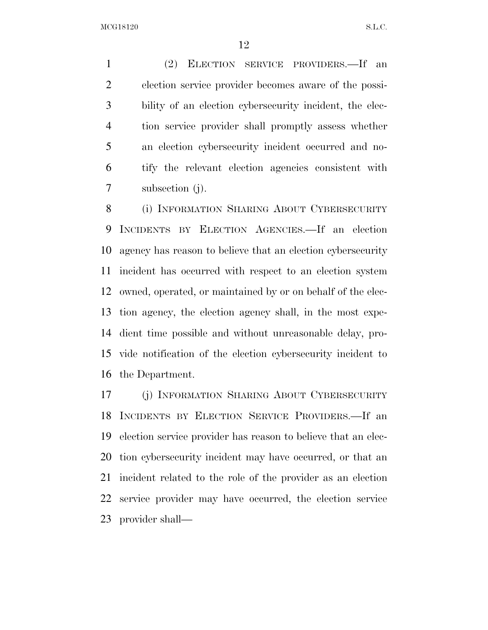(2) ELECTION SERVICE PROVIDERS.—If an election service provider becomes aware of the possi- bility of an election cybersecurity incident, the elec- tion service provider shall promptly assess whether an election cybersecurity incident occurred and no- tify the relevant election agencies consistent with subsection (j).

 (i) INFORMATION SHARING ABOUT CYBERSECURITY INCIDENTS BY ELECTION AGENCIES.—If an election agency has reason to believe that an election cybersecurity incident has occurred with respect to an election system owned, operated, or maintained by or on behalf of the elec- tion agency, the election agency shall, in the most expe- dient time possible and without unreasonable delay, pro- vide notification of the election cybersecurity incident to the Department.

 (j) INFORMATION SHARING ABOUT CYBERSECURITY INCIDENTS BY ELECTION SERVICE PROVIDERS.—If an election service provider has reason to believe that an elec- tion cybersecurity incident may have occurred, or that an incident related to the role of the provider as an election service provider may have occurred, the election service provider shall—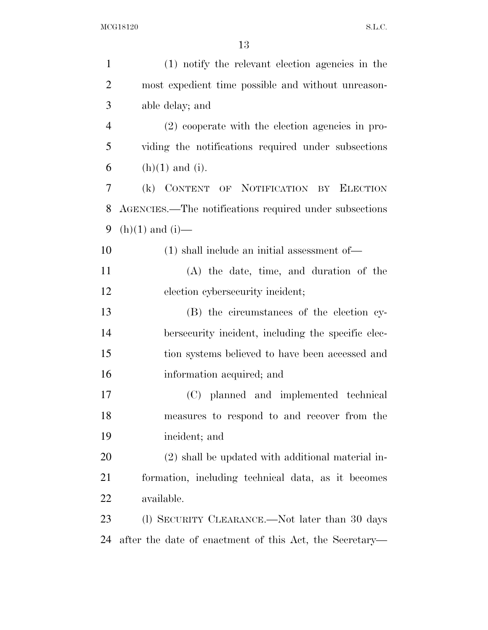| $\mathbf{1}$   | (1) notify the relevant election agencies in the        |
|----------------|---------------------------------------------------------|
| $\overline{2}$ | most expedient time possible and without unreason-      |
| 3              | able delay; and                                         |
| $\overline{4}$ | (2) cooperate with the election agencies in pro-        |
| 5              | viding the notifications required under subsections     |
| 6              | $(h)(1)$ and $(i)$ .                                    |
| 7              | (k) CONTENT OF NOTIFICATION<br><b>ELECTION</b><br>BY    |
| 8              | AGENCIES.—The notifications required under subsections  |
| 9              | $(h)(1)$ and $(i)$ —                                    |
| 10             | $(1)$ shall include an initial assessment of —          |
| 11             | (A) the date, time, and duration of the                 |
| 12             | election cybersecurity incident;                        |
| 13             | (B) the circumstances of the election cy-               |
| 14             | bersecurity incident, including the specific elec-      |
| 15             | tion systems believed to have been accessed and         |
| 16             | information acquired; and                               |
| 17             | (C) planned and implemented technical                   |
| 18             | measures to respond to and recover from the             |
| 19             | incident; and                                           |
| 20             | (2) shall be updated with additional material in-       |
| 21             | formation, including technical data, as it becomes      |
| 22             | available.                                              |
| 23             | (l) SECURITY CLEARANCE.—Not later than 30 days          |
| 24             | after the date of enactment of this Act, the Secretary— |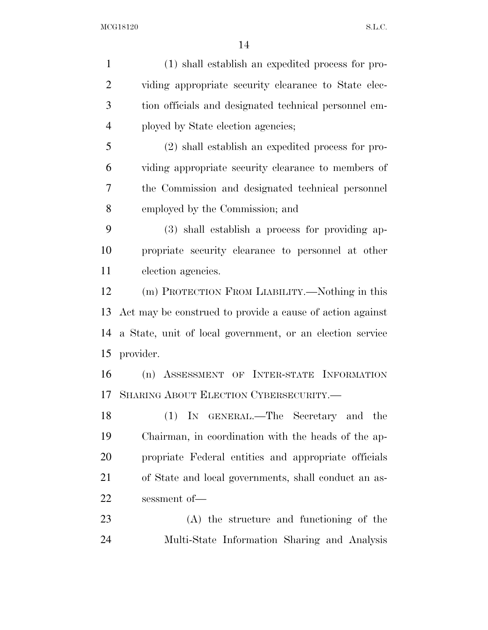(1) shall establish an expedited process for pro- viding appropriate security clearance to State elec- tion officials and designated technical personnel em- ployed by State election agencies; (2) shall establish an expedited process for pro- viding appropriate security clearance to members of the Commission and designated technical personnel employed by the Commission; and (3) shall establish a process for providing ap- propriate security clearance to personnel at other election agencies. (m) PROTECTION FROM LIABILITY.—Nothing in this Act may be construed to provide a cause of action against a State, unit of local government, or an election service provider. (n) ASSESSMENT OF INTER-STATE INFORMATION SHARING ABOUT ELECTION CYBERSECURITY.— (1) IN GENERAL.—The Secretary and the Chairman, in coordination with the heads of the ap- propriate Federal entities and appropriate officials of State and local governments, shall conduct an as- sessment of— (A) the structure and functioning of the Multi-State Information Sharing and Analysis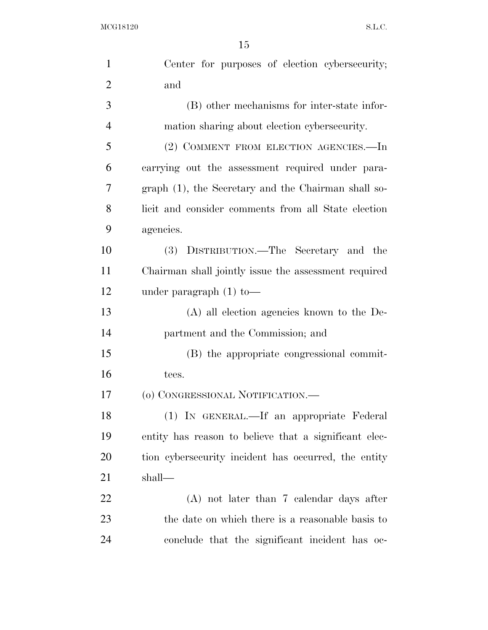| $\mathbf{1}$   | Center for purposes of election cybersecurity;        |
|----------------|-------------------------------------------------------|
| $\overline{2}$ | and                                                   |
| 3              | (B) other mechanisms for inter-state infor-           |
| $\overline{4}$ | mation sharing about election cybersecurity.          |
| 5              | (2) COMMENT FROM ELECTION AGENCIES.—In                |
| 6              | carrying out the assessment required under para-      |
| 7              | graph (1), the Secretary and the Chairman shall so-   |
| 8              | licit and consider comments from all State election   |
| 9              | agencies.                                             |
| 10             | (3) DISTRIBUTION.—The Secretary and the               |
| 11             | Chairman shall jointly issue the assessment required  |
| 12             | under paragraph $(1)$ to —                            |
| 13             | (A) all election agencies known to the De-            |
| 14             | partment and the Commission; and                      |
| 15             | (B) the appropriate congressional commit-             |
| 16             | tees.                                                 |
| 17             | (o) CONGRESSIONAL NOTIFICATION.-                      |
| 18             | (1) IN GENERAL.—If an appropriate Federal             |
| 19             | entity has reason to believe that a significant elec- |
| 20             | tion cybersecurity incident has occurred, the entity  |
| 21             | shall—                                                |
| 22             | $(A)$ not later than 7 calendar days after            |
| 23             | the date on which there is a reasonable basis to      |
| 24             | conclude that the significant incident has oc-        |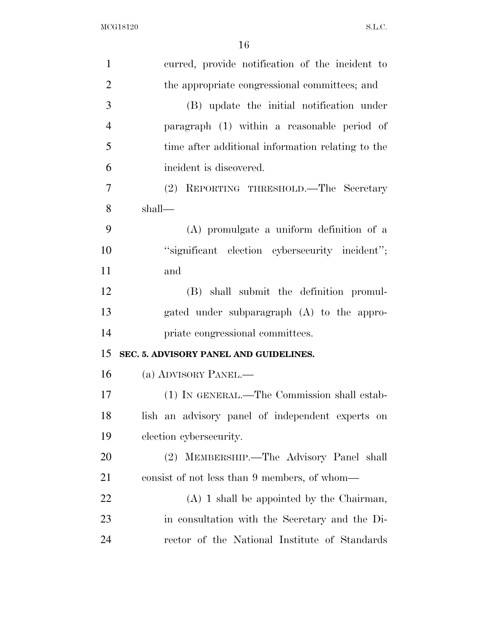| $\mathbf{1}$   | curred, provide notification of the incident to   |
|----------------|---------------------------------------------------|
| $\overline{2}$ | the appropriate congressional committees; and     |
| 3              | (B) update the initial notification under         |
| $\overline{4}$ | paragraph (1) within a reasonable period of       |
| 5              | time after additional information relating to the |
| 6              | incident is discovered.                           |
| $\tau$         | (2) REPORTING THRESHOLD.—The Secretary            |
| 8              | shall—                                            |
| 9              | (A) promulgate a uniform definition of a          |
| 10             | "significant election cybersecurity incident";    |
| 11             | and                                               |
| 12             | (B) shall submit the definition promul-           |
| 13             | gated under subparagraph (A) to the appro-        |
| 14             | priate congressional committees.                  |
| 15             | SEC. 5. ADVISORY PANEL AND GUIDELINES.            |
| 16             | (a) ADVISORY PANEL.—                              |
| 17             | (1) IN GENERAL.—The Commission shall estab-       |
| 18             | lish an advisory panel of independent experts on  |
| 19             | election cybersecurity.                           |
| 20             | MEMBERSHIP.—The Advisory Panel shall<br>(2)       |
| 21             | consist of not less than 9 members, of whom—      |
| 22             | $(A)$ 1 shall be appointed by the Chairman,       |
| 23             | in consultation with the Secretary and the Di-    |
| 24             | rector of the National Institute of Standards     |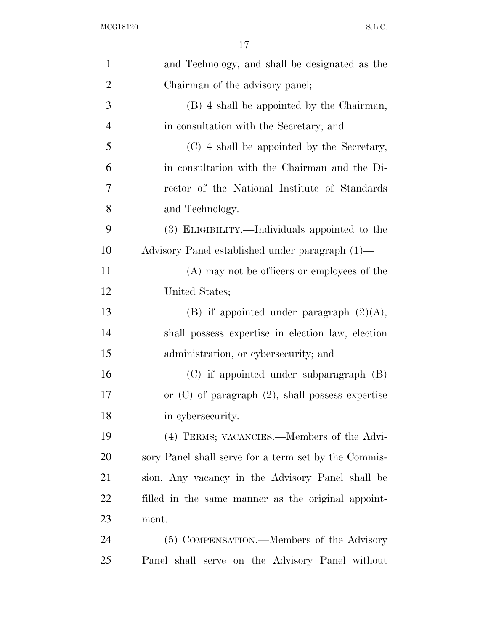| $\mathbf{1}$   | and Technology, and shall be designated as the        |
|----------------|-------------------------------------------------------|
| $\overline{2}$ | Chairman of the advisory panel;                       |
| 3              | (B) 4 shall be appointed by the Chairman,             |
| $\overline{4}$ | in consultation with the Secretary; and               |
| 5              | (C) 4 shall be appointed by the Secretary,            |
| 6              | in consultation with the Chairman and the Di-         |
| 7              | rector of the National Institute of Standards         |
| 8              | and Technology.                                       |
| 9              | (3) ELIGIBILITY.—Individuals appointed to the         |
| 10             | Advisory Panel established under paragraph (1)—       |
| 11             | (A) may not be officers or employees of the           |
| 12             | United States;                                        |
| 13             | (B) if appointed under paragraph $(2)(A)$ ,           |
| 14             | shall possess expertise in election law, election     |
| 15             | administration, or cybersecurity; and                 |
| 16             | $(C)$ if appointed under subparagraph $(B)$           |
| 17             | or $(C)$ of paragraph $(2)$ , shall possess expertise |
| 18             | in cybers ecurity.                                    |
| 19             | (4) TERMS; VACANCIES.—Members of the Advi-            |
| <b>20</b>      | sory Panel shall serve for a term set by the Commis-  |
| 21             | sion. Any vacancy in the Advisory Panel shall be      |
| <u>22</u>      | filled in the same manner as the original appoint-    |
| 23             | ment.                                                 |
| 24             | (5) COMPENSATION.—Members of the Advisory             |
| 25             | Panel shall serve on the Advisory Panel without       |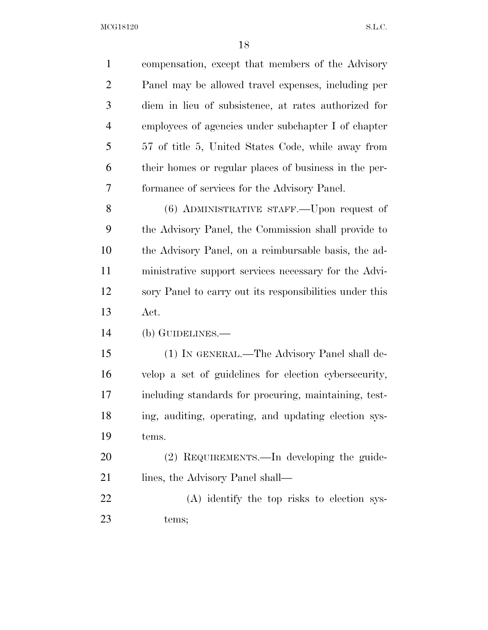$\rm{MCG18120}\qquad \qquad S.L.C.$ 

| $\mathbf{1}$   | compensation, except that members of the Advisory       |
|----------------|---------------------------------------------------------|
| $\overline{2}$ | Panel may be allowed travel expenses, including per     |
| 3              | diem in lieu of subsistence, at rates authorized for    |
| $\overline{4}$ | employees of agencies under subchapter I of chapter     |
| 5              | 57 of title 5, United States Code, while away from      |
| 6              | their homes or regular places of business in the per-   |
| 7              | formance of services for the Advisory Panel.            |
| 8              | (6) ADMINISTRATIVE STAFF.—Upon request of               |
| 9              | the Advisory Panel, the Commission shall provide to     |
| 10             | the Advisory Panel, on a reimbursable basis, the ad-    |
| 11             | ministrative support services necessary for the Advi-   |
| 12             | sory Panel to carry out its responsibilities under this |
| 13             | Act.                                                    |
| 14             | (b) GUIDELINES.—                                        |
| 15             | (1) IN GENERAL.—The Advisory Panel shall de-            |
| 16             | velop a set of guidelines for election cybersecurity,   |
| 17             | including standards for procuring, maintaining, test-   |
| 18             | ing, auditing, operating, and updating election sys-    |
| 19             | tems.                                                   |
| 20             | (2) REQUIREMENTS.—In developing the guide-              |
| 21             | lines, the Advisory Panel shall—                        |
| 22             | (A) identify the top risks to election sys-             |
| 23             | tems;                                                   |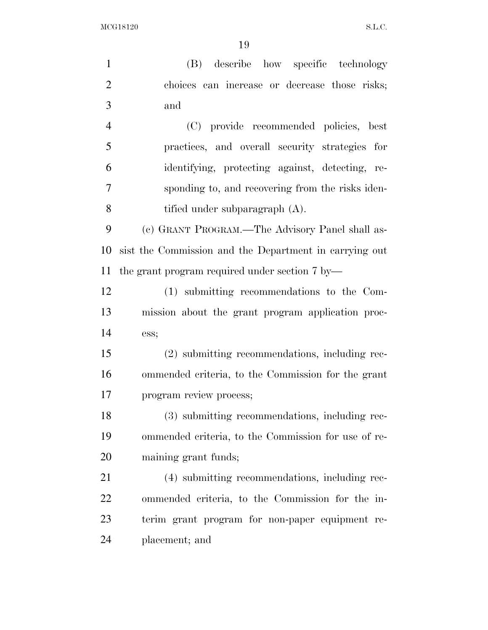(B) describe how specific technology choices can increase or decrease those risks; and (C) provide recommended policies, best practices, and overall security strategies for identifying, protecting against, detecting, re- sponding to, and recovering from the risks iden- tified under subparagraph (A). (c) GRANT PROGRAM.—The Advisory Panel shall as- sist the Commission and the Department in carrying out the grant program required under section 7 by— (1) submitting recommendations to the Com- mission about the grant program application proc- ess; (2) submitting recommendations, including rec- ommended criteria, to the Commission for the grant program review process; (3) submitting recommendations, including rec- ommended criteria, to the Commission for use of re- maining grant funds; (4) submitting recommendations, including rec- ommended criteria, to the Commission for the in- terim grant program for non-paper equipment re-placement; and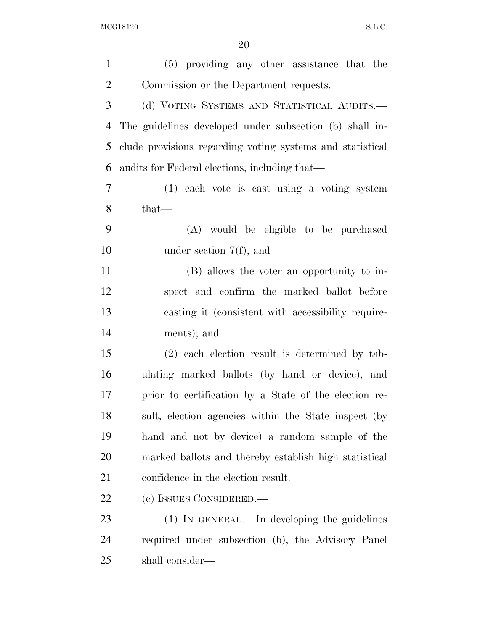| $\mathbf{1}$   | (5) providing any other assistance that the               |
|----------------|-----------------------------------------------------------|
| $\overline{2}$ | Commission or the Department requests.                    |
| 3              | (d) VOTING SYSTEMS AND STATISTICAL AUDITS.—               |
| $\overline{4}$ | The guidelines developed under subsection (b) shall in-   |
| 5              | clude provisions regarding voting systems and statistical |
| 6              | audits for Federal elections, including that—             |
| $\overline{7}$ | (1) each vote is cast using a voting system               |
| 8              | $that-$                                                   |
| 9              | (A) would be eligible to be purchased                     |
| 10             | under section $7(f)$ , and                                |
| 11             | (B) allows the voter an opportunity to in-                |
| 12             | spect and confirm the marked ballot before                |
| 13             | casting it (consistent with accessibility require-        |
| 14             | ments); and                                               |
| 15             | $(2)$ each election result is determined by tab-          |
| 16             | ulating marked ballots (by hand or device), and           |
| 17             | prior to certification by a State of the election re-     |
| 18             | sult, election agencies within the State inspect (by      |
| 19             | hand and not by device) a random sample of the            |
| 20             | marked ballots and thereby establish high statistical     |
| 21             | confidence in the election result.                        |
| 22             | (e) ISSUES CONSIDERED.                                    |
| 23             | $(1)$ In GENERAL.—In developing the guidelines            |
| 24             | required under subsection (b), the Advisory Panel         |
| 25             | shall consider—                                           |
|                |                                                           |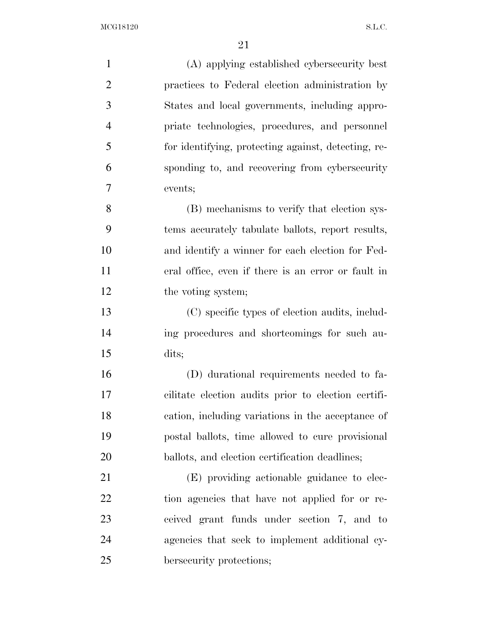(A) applying established cybersecurity best practices to Federal election administration by States and local governments, including appro- priate technologies, procedures, and personnel for identifying, protecting against, detecting, re- sponding to, and recovering from cybersecurity events; (B) mechanisms to verify that election sys- tems accurately tabulate ballots, report results, and identify a winner for each election for Fed- eral office, even if there is an error or fault in 12 the voting system; (C) specific types of election audits, includ- ing procedures and shortcomings for such au- dits; (D) durational requirements needed to fa- cilitate election audits prior to election certifi- cation, including variations in the acceptance of postal ballots, time allowed to cure provisional 20 ballots, and election certification deadlines; (E) providing actionable guidance to elec- tion agencies that have not applied for or re- ceived grant funds under section 7, and to agencies that seek to implement additional cy-bersecurity protections;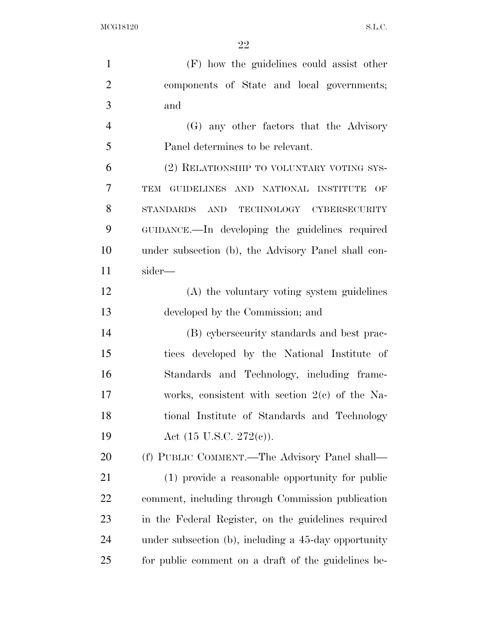$\rm MCG18120 \qquad \qquad S.L.C.$ 

| $\mathbf{1}$   | (F) how the guidelines could assist other            |
|----------------|------------------------------------------------------|
| $\overline{2}$ | components of State and local governments;           |
| 3              | and                                                  |
| $\overline{4}$ | (G) any other factors that the Advisory              |
| 5              | Panel determines to be relevant.                     |
| 6              | (2) RELATIONSHIP TO VOLUNTARY VOTING SYS-            |
| 7              | GUIDELINES AND NATIONAL INSTITUTE<br>TEM<br>OF       |
| 8              | STANDARDS AND TECHNOLOGY CYBERSECURITY               |
| 9              | GUIDANCE.—In developing the guidelines required      |
| 10             | under subsection (b), the Advisory Panel shall con-  |
| 11             | sider—                                               |
| 12             | (A) the voluntary voting system guidelines           |
| 13             | developed by the Commission; and                     |
| 14             | (B) cybersecurity standards and best prac-           |
| 15             | tices developed by the National Institute of         |
| 16             | Standards and Technology, including frame-           |
| 17             | works, consistent with section $2(c)$ of the Na-     |
| 18             | tional Institute of Standards and Technology         |
| 19             | Act $(15 \text{ U.S.C. } 272(e))$ .                  |
| 20             | (f) PUBLIC COMMENT.—The Advisory Panel shall—        |
| 21             | (1) provide a reasonable opportunity for public      |
| 22             | comment, including through Commission publication    |
| 23             | in the Federal Register, on the guidelines required  |
| 24             | under subsection (b), including a 45-day opportunity |
| 25             | for public comment on a draft of the guidelines be-  |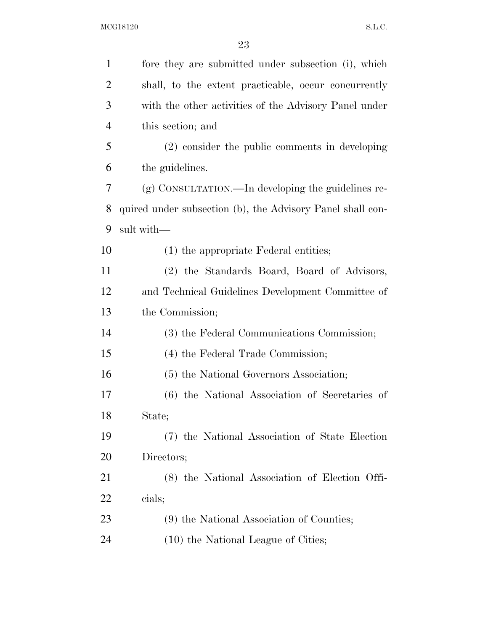$\rm MCG18120 \qquad \qquad S.L.C.$ 

| $\mathbf{1}$   | fore they are submitted under subsection (i), which        |
|----------------|------------------------------------------------------------|
| $\overline{2}$ | shall, to the extent practicable, occur concurrently       |
| 3              | with the other activities of the Advisory Panel under      |
| $\overline{4}$ | this section; and                                          |
| 5              | (2) consider the public comments in developing             |
| 6              | the guidelines.                                            |
| 7              | (g) CONSULTATION.—In developing the guidelines re-         |
| 8              | quired under subsection (b), the Advisory Panel shall con- |
| 9              | sult with-                                                 |
| 10             | $(1)$ the appropriate Federal entities;                    |
| 11             | (2) the Standards Board, Board of Advisors,                |
| 12             | and Technical Guidelines Development Committee of          |
| 13             | the Commission;                                            |
| 14             | (3) the Federal Communications Commission;                 |
| 15             | (4) the Federal Trade Commission;                          |
| 16             | (5) the National Governors Association;                    |
| 17             | (6) the National Association of Secretaries of             |
| 18             | State;                                                     |
| 19             | (7) the National Association of State Election             |
| 20             | Directors;                                                 |
| 21             | (8) the National Association of Election Offi-             |
| 22             | cials;                                                     |
| 23             | (9) the National Association of Counties;                  |
| 24             | (10) the National League of Cities;                        |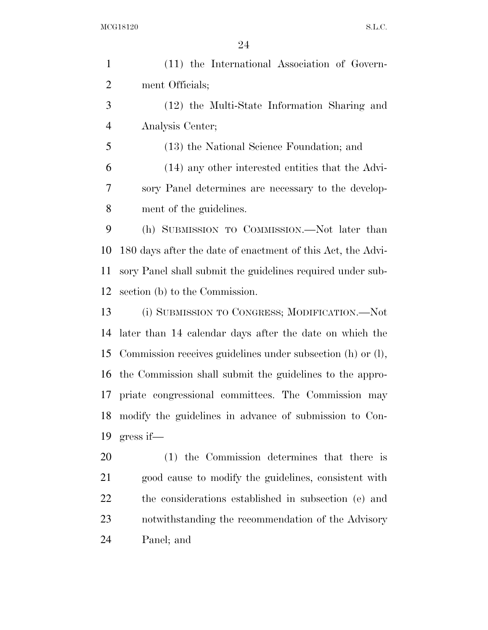$\rm{MCG18120}\qquad \qquad S.L.C.$ 

| $\mathbf{1}$   | (11) the International Association of Govern-               |
|----------------|-------------------------------------------------------------|
| $\overline{2}$ | ment Officials;                                             |
| 3              | (12) the Multi-State Information Sharing and                |
| $\overline{4}$ | Analysis Center;                                            |
| 5              | (13) the National Science Foundation; and                   |
| 6              | (14) any other interested entities that the Advi-           |
| 7              | sory Panel determines are necessary to the develop-         |
| 8              | ment of the guidelines.                                     |
| 9              | (h) SUBMISSION TO COMMISSION.—Not later than                |
| 10             | 180 days after the date of enactment of this Act, the Advi- |
| 11             | sory Panel shall submit the guidelines required under sub-  |
| 12             | section (b) to the Commission.                              |
| 13             | (i) SUBMISSION TO CONGRESS; MODIFICATION.—Not               |
| 14             | later than 14 calendar days after the date on which the     |
| 15             | Commission receives guidelines under subsection (h) or (l), |
| 16             | the Commission shall submit the guidelines to the appro-    |
| 17             | priate congressional committees. The Commission may         |
| 18             | modify the guidelines in advance of submission to Con-      |
| 19             | $gress$ if—                                                 |
| 20             | (1) the Commission determines that there is                 |
| 21             | good cause to modify the guidelines, consistent with        |
| 22             | the considerations established in subsection (e) and        |
| 23             | notwithstanding the recommendation of the Advisory          |
| 24             | Panel; and                                                  |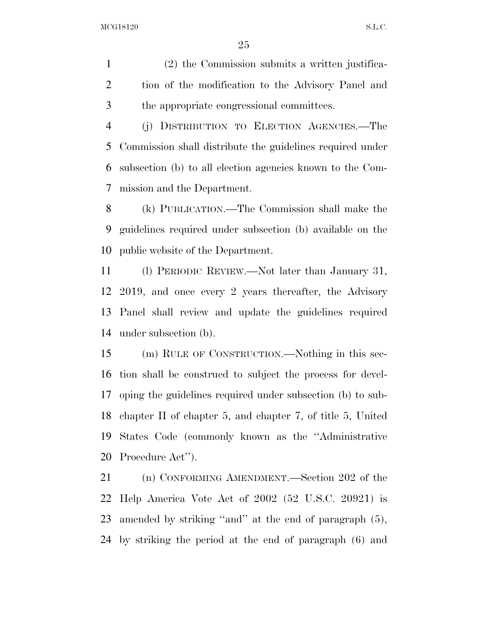(2) the Commission submits a written justifica- tion of the modification to the Advisory Panel and the appropriate congressional committees.

 (j) DISTRIBUTION TO ELECTION AGENCIES.—The Commission shall distribute the guidelines required under subsection (b) to all election agencies known to the Com-mission and the Department.

 (k) PUBLICATION.—The Commission shall make the guidelines required under subsection (b) available on the public website of the Department.

 (l) PERIODIC REVIEW.—Not later than January 31, 2019, and once every 2 years thereafter, the Advisory Panel shall review and update the guidelines required under subsection (b).

 (m) RULE OF CONSTRUCTION.—Nothing in this sec- tion shall be construed to subject the process for devel- oping the guidelines required under subsection (b) to sub- chapter II of chapter 5, and chapter 7, of title 5, United States Code (commonly known as the ''Administrative Procedure Act'').

 (n) CONFORMING AMENDMENT.—Section 202 of the Help America Vote Act of 2002 (52 U.S.C. 20921) is amended by striking ''and'' at the end of paragraph (5), by striking the period at the end of paragraph (6) and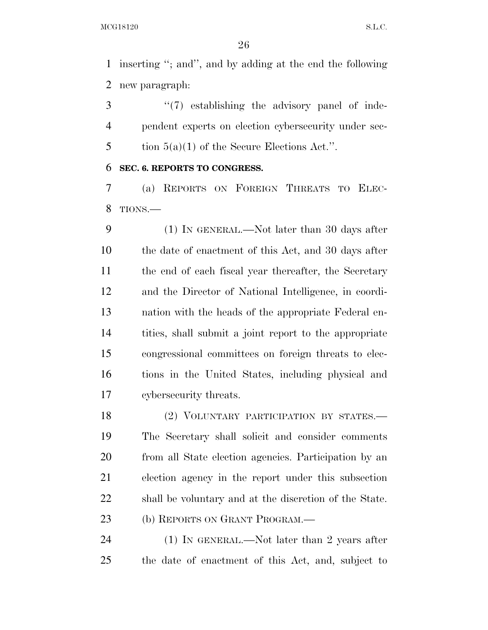inserting ''; and'', and by adding at the end the following new paragraph:

3 "(7) establishing the advisory panel of inde- pendent experts on election cybersecurity under sec-5 tion  $5(a)(1)$  of the Secure Elections Act.".

#### **SEC. 6. REPORTS TO CONGRESS.**

 (a) REPORTS ON FOREIGN THREATS TO ELEC-TIONS.—

 (1) IN GENERAL.—Not later than 30 days after the date of enactment of this Act, and 30 days after the end of each fiscal year thereafter, the Secretary and the Director of National Intelligence, in coordi- nation with the heads of the appropriate Federal en- tities, shall submit a joint report to the appropriate congressional committees on foreign threats to elec- tions in the United States, including physical and cybersecurity threats.

18 (2) VOLUNTARY PARTICIPATION BY STATES. The Secretary shall solicit and consider comments from all State election agencies. Participation by an election agency in the report under this subsection shall be voluntary and at the discretion of the State. 23 (b) REPORTS ON GRANT PROGRAM.—

24 (1) IN GENERAL.—Not later than 2 years after the date of enactment of this Act, and, subject to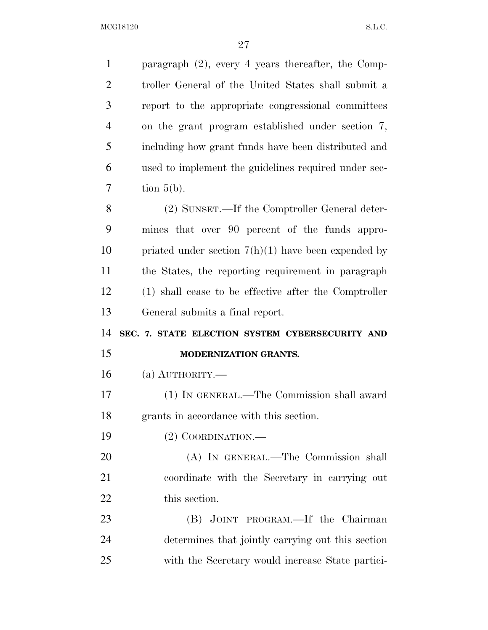| $\mathbf{1}$   | paragraph $(2)$ , every 4 years thereafter, the Comp- |
|----------------|-------------------------------------------------------|
| $\overline{2}$ | troller General of the United States shall submit a   |
| 3              | report to the appropriate congressional committees    |
| $\overline{4}$ | on the grant program established under section 7,     |
| 5              | including how grant funds have been distributed and   |
| 6              | used to implement the guidelines required under sec-  |
| 7              | tion $5(b)$ .                                         |
| 8              | (2) SUNSET.—If the Comptroller General deter-         |
| 9              | mines that over 90 percent of the funds appro-        |
| 10             | priated under section $7(h)(1)$ have been expended by |
| 11             | the States, the reporting requirement in paragraph    |
| 12             | (1) shall cease to be effective after the Comptroller |
| 13             | General submits a final report.                       |
| 14             | SEC. 7. STATE ELECTION SYSTEM CYBERSECURITY AND       |
|                |                                                       |
| 15             | MODERNIZATION GRANTS.                                 |
| 16             | (a) $\text{AUTHORITY}$ .                              |
| 17             | (1) IN GENERAL.—The Commission shall award            |
| 18             | grants in accordance with this section.               |
| 19             | $(2)$ COORDINATION.—                                  |
| 20             | (A) IN GENERAL.—The Commission shall                  |
| 21             | coordinate with the Secretary in carrying out         |
| 22             | this section.                                         |
| 23             | (B) JOINT PROGRAM.—If the Chairman                    |
| 24             | determines that jointly carrying out this section     |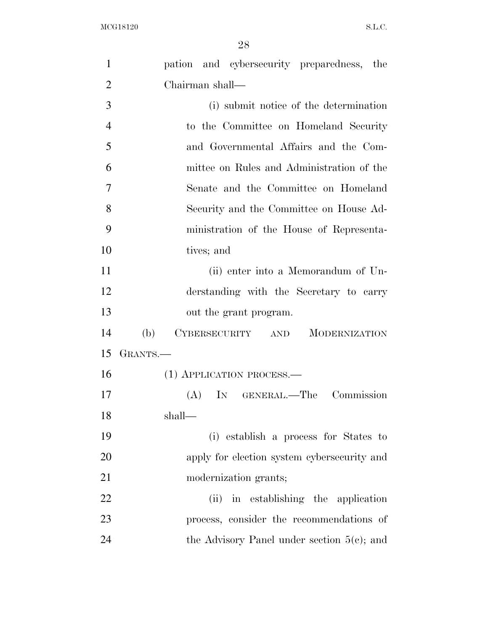| 1              | pation and cybersecurity preparedness, the    |
|----------------|-----------------------------------------------|
| $\overline{2}$ | Chairman shall—                               |
| 3              | (i) submit notice of the determination        |
| $\overline{4}$ | to the Committee on Homeland Security         |
| 5              | and Governmental Affairs and the Com-         |
| 6              | mittee on Rules and Administration of the     |
| 7              | Senate and the Committee on Homeland          |
| 8              | Security and the Committee on House Ad-       |
| 9              | ministration of the House of Representa-      |
| 10             | tives; and                                    |
| 11             | (ii) enter into a Memorandum of Un-           |
| 12             | derstanding with the Secretary to carry       |
| 13             | out the grant program.                        |
| 14             | (b)<br>CYBERSECURITY AND MODERNIZATION        |
| 15             | GRANTS.—                                      |
| 16             | (1) APPLICATION PROCESS.—                     |
| 17             | IN GENERAL.—The Commission<br>(A)             |
| 18             | shall-                                        |
| 19             | (i) establish a process for States to         |
| 20             | apply for election system cybersecurity and   |
| 21             | modernization grants;                         |
| 22             | (ii) in establishing the application          |
| 23             | process, consider the recommendations of      |
| 24             | the Advisory Panel under section $5(c)$ ; and |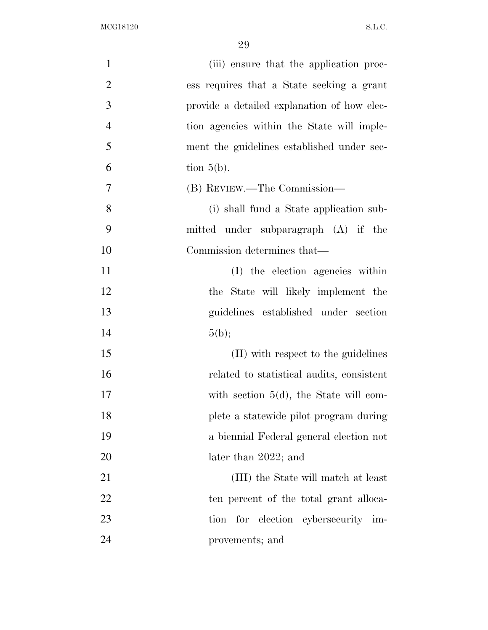$\rm MCG18120 \qquad \qquad S.L.C.$ 

| $\mathbf{1}$   | (iii) ensure that the application proc-     |
|----------------|---------------------------------------------|
| $\overline{2}$ | ess requires that a State seeking a grant   |
| 3              | provide a detailed explanation of how elec- |
| $\overline{4}$ | tion agencies within the State will imple-  |
| 5              | ment the guidelines established under sec-  |
| 6              | tion $5(b)$ .                               |
| 7              | (B) REVIEW.—The Commission—                 |
| 8              | (i) shall fund a State application sub-     |
| 9              | mitted under subparagraph (A) if the        |
| 10             | Commission determines that—                 |
| 11             | (I) the election agencies within            |
| 12             | the State will likely implement the         |
| 13             | guidelines established under section        |
| 14             | 5(b);                                       |
| 15             | (II) with respect to the guidelines         |
| 16             | related to statistical audits, consistent   |
| 17             | with section $5(d)$ , the State will com-   |
| 18             | plete a statewide pilot program during      |
| 19             | a biennial Federal general election not     |
| 20             | later than 2022; and                        |
| 21             | (III) the State will match at least         |
| 22             | ten percent of the total grant alloca-      |
| 23             | for election cybersecurity im-<br>tion      |
| 24             | provements; and                             |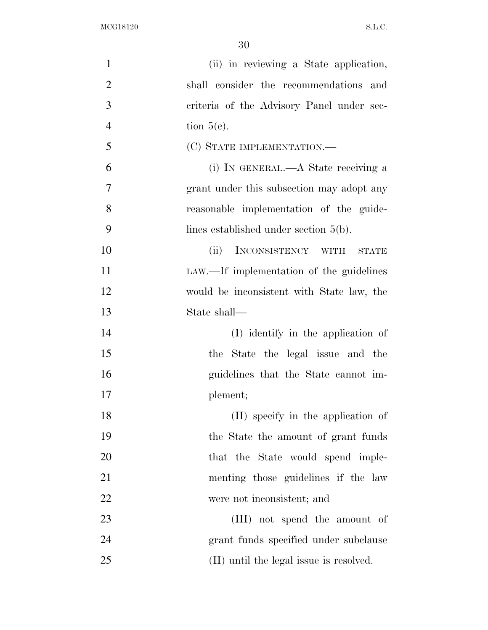$\rm MCG18120 \qquad \qquad S.L.C.$ 

| $\mathbf{1}$   | (ii) in reviewing a State application,               |
|----------------|------------------------------------------------------|
| $\overline{2}$ | shall consider the recommendations and               |
| 3              | criteria of the Advisory Panel under sec-            |
| $\overline{4}$ | tion $5(e)$ .                                        |
| 5              | (C) STATE IMPLEMENTATION.—                           |
| 6              | (i) IN GENERAL.—A State receiving a                  |
| 7              | grant under this subsection may adopt any            |
| 8              | reasonable implementation of the guide-              |
| 9              | lines established under section $5(b)$ .             |
| 10             | INCONSISTENCY WITH<br>(ii)<br>$\operatorname{STATE}$ |
| 11             | LAW.—If implementation of the guidelines             |
| 12             | would be inconsistent with State law, the            |
| 13             | State shall—                                         |
| 14             | (I) identify in the application of                   |
| 15             | the State the legal issue and the                    |
| 16             | guidelines that the State cannot im-                 |
| 17             | plement;                                             |
| 18             | (II) specify in the application of                   |
| 19             | the State the amount of grant funds                  |
| 20             | that the State would spend imple-                    |
| 21             | menting those guidelines if the law                  |
| 22             | were not inconsistent; and                           |
| 23             | (III) not spend the amount of                        |
| 24             | grant funds specified under subclause                |
| 25             | (II) until the legal issue is resolved.              |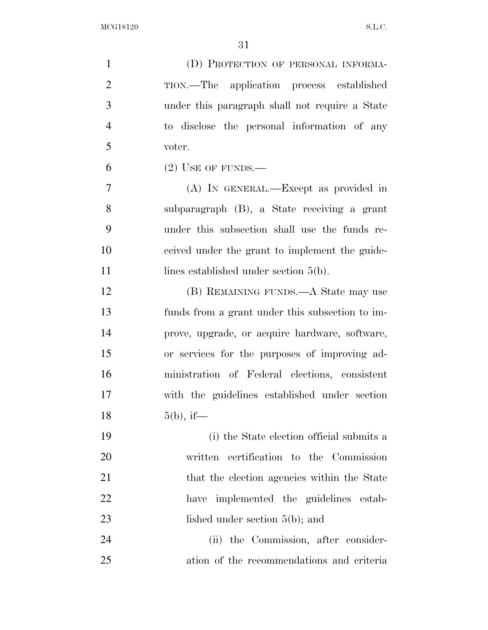$\rm{MCG18120}\qquad \qquad S.L.C.$ 

| $\mathbf{1}$   | (D) PROTECTION OF PERSONAL INFORMA-             |
|----------------|-------------------------------------------------|
| $\overline{2}$ | TION.—The application process established       |
| 3              | under this paragraph shall not require a State  |
| $\overline{4}$ | to disclose the personal information of any     |
| 5              | voter.                                          |
| 6              | $(2)$ USE OF FUNDS.—                            |
| 7              | (A) IN GENERAL.—Except as provided in           |
| 8              | subparagraph (B), a State receiving a grant     |
| 9              | under this subsection shall use the funds re-   |
| 10             | ceived under the grant to implement the guide-  |
| 11             | lines established under section $5(b)$ .        |
| 12             | (B) REMAINING FUNDS.—A State may use            |
| 13             | funds from a grant under this subsection to im- |
| 14             | prove, upgrade, or acquire hardware, software,  |
| 15             | or services for the purposes of improving ad-   |
| 16             | ministration of Federal elections, consistent   |
| 17             | with the guidelines established under section   |
| 18             | $5(b)$ , if—                                    |
| 19             | (i) the State election official submits a       |
| <b>20</b>      | written certification to the Commission         |
| 21             | that the election agencies within the State     |
| 22             | implemented the guidelines estab-<br>have       |
| 23             | lished under section $5(b)$ ; and               |
| 24             | (ii) the Commission, after consider-            |
| 25             | ation of the recommendations and criteria       |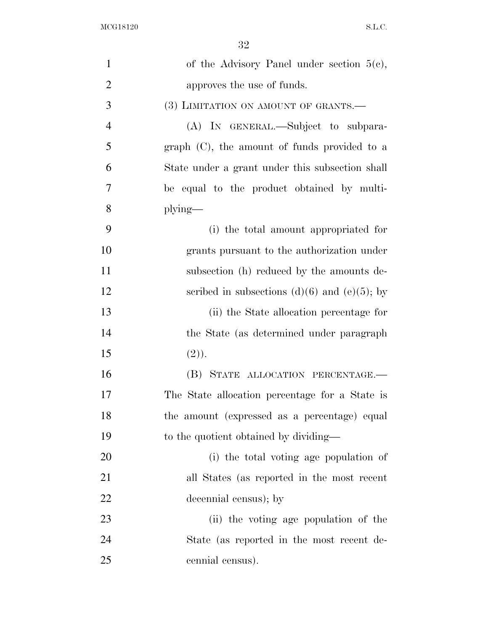$\rm{MCG18120}\qquad \qquad S.L.C.$ 

| $\mathbf{1}$   | of the Advisory Panel under section $5(e)$ ,      |
|----------------|---------------------------------------------------|
| $\overline{2}$ | approves the use of funds.                        |
| 3              | (3) LIMITATION ON AMOUNT OF GRANTS.—              |
| $\overline{4}$ | (A) IN GENERAL.—Subject to subpara-               |
| 5              | graph $(C)$ , the amount of funds provided to a   |
| 6              | State under a grant under this subsection shall   |
| 7              | be equal to the product obtained by multi-        |
| 8              | $plying$ —                                        |
| 9              | (i) the total amount appropriated for             |
| 10             | grants pursuant to the authorization under        |
| 11             | subsection (h) reduced by the amounts de-         |
| 12             | scribed in subsections $(d)(6)$ and $(e)(5)$ ; by |
| 13             | (ii) the State allocation percentage for          |
| 14             | the State (as determined under paragraph)         |
| 15             | (2).                                              |
| 16             | (B) STATE ALLOCATION PERCENTAGE.-                 |
| 17             | The State allocation percentage for a State is    |
| 18             | the amount (expressed as a percentage) equal      |
| 19             | to the quotient obtained by dividing—             |
| 20             | (i) the total voting age population of            |
| 21             | all States (as reported in the most recent        |
| 22             | decennial census); by                             |
| 23             | (ii) the voting age population of the             |
| 24             | State (as reported in the most recent de-         |
| 25             | cennial census).                                  |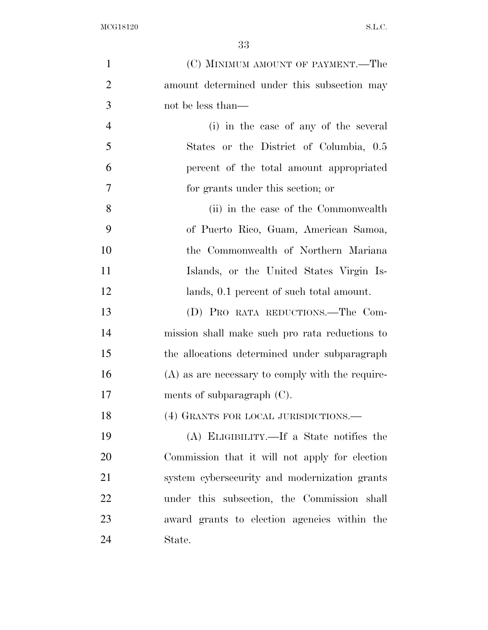| $\mathbf{1}$   | (C) MINIMUM AMOUNT OF PAYMENT.—The                 |
|----------------|----------------------------------------------------|
| $\overline{2}$ | amount determined under this subsection may        |
| 3              | not be less than—                                  |
| $\overline{4}$ | (i) in the case of any of the several              |
| 5              | States or the District of Columbia, 0.5            |
| 6              | percent of the total amount appropriated           |
| 7              | for grants under this section; or                  |
| 8              | (ii) in the case of the Commonwealth               |
| 9              | of Puerto Rico, Guam, American Samoa,              |
| 10             | the Commonwealth of Northern Mariana               |
| 11             | Islands, or the United States Virgin Is-           |
| 12             | lands, 0.1 percent of such total amount.           |
| 13             | (D) PRO RATA REDUCTIONS.—The Com-                  |
| 14             | mission shall make such pro rata reductions to     |
| 15             | the allocations determined under subparagraph      |
| 16             | $(A)$ as are necessary to comply with the require- |
| 17             | ments of subparagraph $(C)$ .                      |
| 18             | (4) GRANTS FOR LOCAL JURISDICTIONS.—               |
| 19             | (A) ELIGIBILITY.—If a State notifies the           |
| 20             | Commission that it will not apply for election     |
| 21             | system cybersecurity and modernization grants      |
| 22             | under this subsection, the Commission shall        |
| 23             | award grants to election agencies within the       |
| 24             | State.                                             |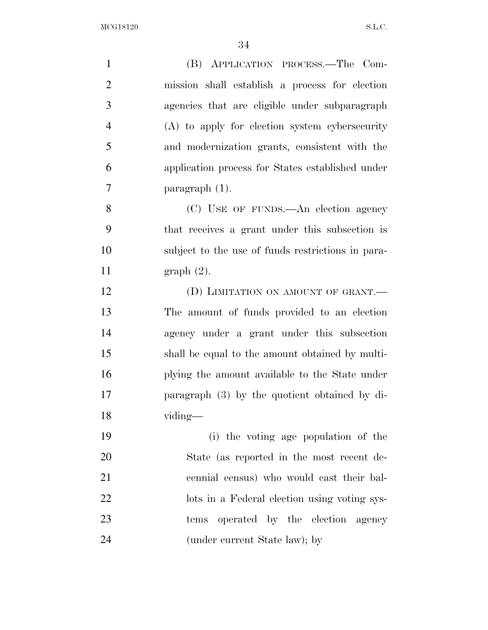| $\mathbf{1}$   | (B) APPLICATION PROCESS.—The Com-                 |
|----------------|---------------------------------------------------|
| $\overline{2}$ | mission shall establish a process for election    |
| 3              | agencies that are eligible under subparagraph     |
| $\overline{4}$ | (A) to apply for election system cybersecurity    |
| 5              | and modernization grants, consistent with the     |
| 6              | application process for States established under  |
| $\tau$         | paragraph $(1)$ .                                 |
| 8              | (C) USE OF FUNDS.—An election agency              |
| 9              | that receives a grant under this subsection is    |
| 10             | subject to the use of funds restrictions in para- |
| 11             | graph(2).                                         |
| 12             | (D) LIMITATION ON AMOUNT OF GRANT.                |
| 13             | The amount of funds provided to an election       |
| 14             | agency under a grant under this subsection        |
| 15             | shall be equal to the amount obtained by multi-   |
| 16             | plying the amount available to the State under    |
| 17             | paragraph $(3)$ by the quotient obtained by di-   |
| 18             | viding—                                           |
| 19             | (i) the voting age population of the              |
| 20             | State (as reported in the most recent de-         |
| 21             | cennial census) who would cast their bal-         |
| 22             | lots in a Federal election using voting sys-      |
| 23             | tems operated by the election agency              |
| 24             | (under current State law); by                     |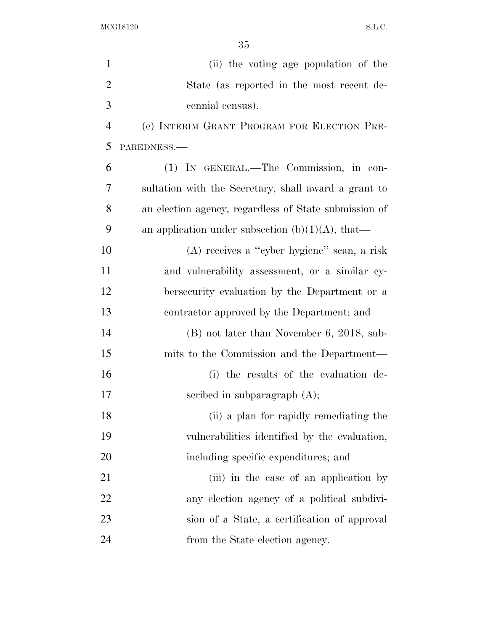| $\mathbf{1}$   | (ii) the voting age population of the                 |
|----------------|-------------------------------------------------------|
| $\overline{2}$ | State (as reported in the most recent de-             |
| 3              | cennial census).                                      |
| $\overline{4}$ | (c) INTERIM GRANT PROGRAM FOR ELECTION PRE-           |
| 5              | PAREDNESS.-                                           |
| 6              | (1) IN GENERAL.—The Commission, in con-               |
| 7              | sultation with the Secretary, shall award a grant to  |
| 8              | an election agency, regardless of State submission of |
| 9              | an application under subsection $(b)(1)(A)$ , that—   |
| 10             | (A) receives a "cyber hygiene" scan, a risk           |
| 11             | and vulnerability assessment, or a similar cy-        |
| 12             | bersecurity evaluation by the Department or a         |
| 13             | contractor approved by the Department; and            |
| 14             | $(B)$ not later than November 6, 2018, sub-           |
| 15             | mits to the Commission and the Department—            |
| 16             | (i) the results of the evaluation de-                 |
| 17             | scribed in subparagraph $(A)$ ;                       |
| 18             | (ii) a plan for rapidly remediating the               |
| 19             | vulnerabilities identified by the evaluation,         |
| 20             | including specific expenditures; and                  |
| 21             | (iii) in the case of an application by                |
| 22             | any election agency of a political subdivi-           |
| 23             | sion of a State, a certification of approval          |
| 24             | from the State election agency.                       |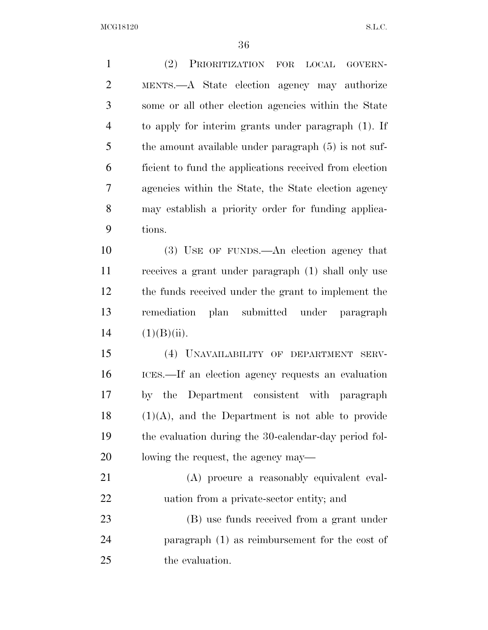$\rm MCG18120 \qquad \qquad S.L.C.$ 

| $\mathbf{1}$   | (2) PRIORITIZATION FOR LOCAL GOVERN-                    |
|----------------|---------------------------------------------------------|
| $\overline{2}$ | MENTS.—A State election agency may authorize            |
| 3              | some or all other election agencies within the State    |
| $\overline{4}$ | to apply for interim grants under paragraph (1). If     |
| 5              | the amount available under paragraph (5) is not suf-    |
| 6              | ficient to fund the applications received from election |
| 7              | agencies within the State, the State election agency    |
| 8              | may establish a priority order for funding applica-     |
| 9              | tions.                                                  |
| 10             | (3) USE OF FUNDS.—An election agency that               |
| 11             | receives a grant under paragraph (1) shall only use     |
| 12             | the funds received under the grant to implement the     |
| 13             | remediation plan submitted under paragraph              |
| 14             | (1)(B)(ii).                                             |
| 15             | (4) UNAVAILABILITY OF DEPARTMENT SERV-                  |
| 16             | ICES.—If an election agency requests an evaluation      |
| 17             | by the Department consistent with paragraph             |
| 18             | $(1)(A)$ , and the Department is not able to provide    |
| 19             | the evaluation during the 30-calendar-day period fol-   |
| 20             | lowing the request, the agency may—                     |
| 21             | (A) procure a reasonably equivalent eval-               |
| 22             | uation from a private-sector entity; and                |
| 23             | (B) use funds received from a grant under               |
| 24             | paragraph $(1)$ as reimbursement for the cost of        |
| 25             | the evaluation.                                         |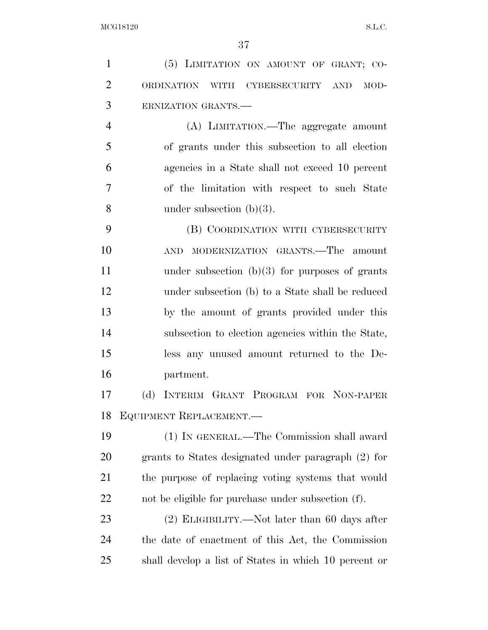(5) LIMITATION ON AMOUNT OF GRANT; CO- ORDINATION WITH CYBERSECURITY AND MOD- ERNIZATION GRANTS.— (A) LIMITATION.—The aggregate amount of grants under this subsection to all election agencies in a State shall not exceed 10 percent of the limitation with respect to such State under subsection (b)(3). (B) COORDINATION WITH CYBERSECURITY AND MODERNIZATION GRANTS.—The amount 11 under subsection (b)(3) for purposes of grants under subsection (b) to a State shall be reduced by the amount of grants provided under this subsection to election agencies within the State, less any unused amount returned to the De- partment. (d) INTERIM GRANT PROGRAM FOR NON-PAPER EQUIPMENT REPLACEMENT.— (1) IN GENERAL.—The Commission shall award grants to States designated under paragraph (2) for the purpose of replacing voting systems that would not be eligible for purchase under subsection (f). (2) ELIGIBILITY.—Not later than 60 days after the date of enactment of this Act, the Commission shall develop a list of States in which 10 percent or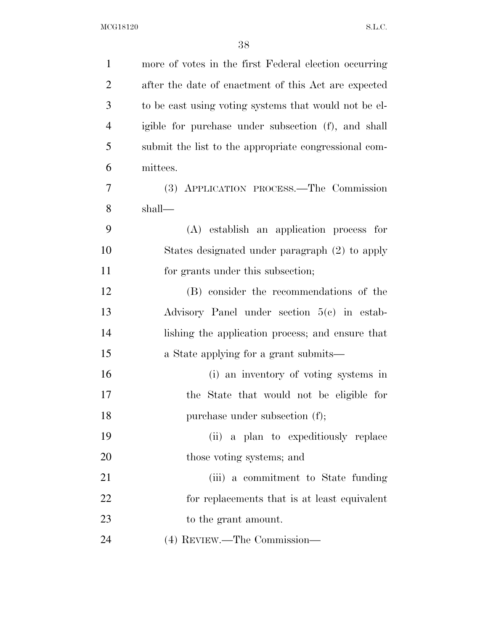$\rm MCG18120 \qquad \qquad S.L.C.$ 

| $\mathbf{1}$   | more of votes in the first Federal election occurring |
|----------------|-------------------------------------------------------|
| $\overline{2}$ | after the date of enactment of this Act are expected  |
| 3              | to be east using voting systems that would not be el- |
| $\overline{4}$ | igible for purchase under subsection (f), and shall   |
| 5              | submit the list to the appropriate congressional com- |
| 6              | mittees.                                              |
| $\overline{7}$ | (3) APPLICATION PROCESS.—The Commission               |
| 8              | shall—                                                |
| 9              | (A) establish an application process for              |
| 10             | States designated under paragraph (2) to apply        |
| 11             | for grants under this subsection;                     |
| 12             | (B) consider the recommendations of the               |
| 13             | Advisory Panel under section 5(c) in estab-           |
| 14             | lishing the application process; and ensure that      |
| 15             | a State applying for a grant submits—                 |
| 16             | (i) an inventory of voting systems in                 |
| 17             | State that would not be eligible for<br>the           |
| 18             | purchase under subsection (f);                        |
| 19             | a plan to expeditiously replace<br>(ii)               |
| 20             | those voting systems; and                             |
| 21             | (iii) a commitment to State funding                   |
| 22             | for replacements that is at least equivalent          |
| 23             | to the grant amount.                                  |
| 24             | (4) REVIEW.—The Commission—                           |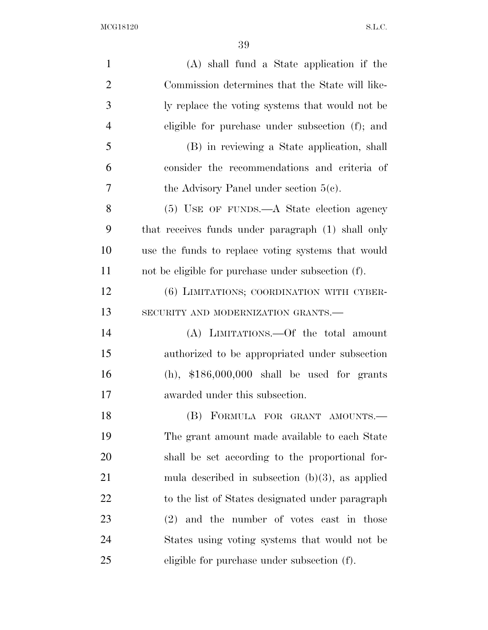$\rm MCG18120 \qquad \qquad S.L.C.$ 

| $\mathbf{1}$   | $(A)$ shall fund a State application if the        |
|----------------|----------------------------------------------------|
| $\overline{2}$ | Commission determines that the State will like-    |
| 3              | ly replace the voting systems that would not be    |
| $\overline{4}$ | eligible for purchase under subsection (f); and    |
| 5              | (B) in reviewing a State application, shall        |
| 6              | consider the recommendations and criteria of       |
| 7              | the Advisory Panel under section $5(c)$ .          |
| 8              | $(5)$ USE OF FUNDS.—A State election agency        |
| 9              | that receives funds under paragraph (1) shall only |
| 10             | use the funds to replace voting systems that would |
| 11             | not be eligible for purchase under subsection (f). |
| 12             | (6) LIMITATIONS; COORDINATION WITH CYBER-          |
| 13             | SECURITY AND MODERNIZATION GRANTS.-                |
| 14             | (A) LIMITATIONS. - Of the total amount             |
| 15             | authorized to be appropriated under subsection     |
| 16             | $(h)$ , \$186,000,000 shall be used for grants     |
| 17             | awarded under this subsection.                     |
| 18             | (B) FORMULA FOR GRANT AMOUNTS.-                    |
| 19             | The grant amount made available to each State      |
| 20             | shall be set according to the proportional for-    |
| 21             | mula described in subsection $(b)(3)$ , as applied |
| 22             | to the list of States designated under paragraph   |
| 23             | $(2)$ and the number of votes cast in those        |
| 24             | States using voting systems that would not be      |
| 25             | eligible for purchase under subsection (f).        |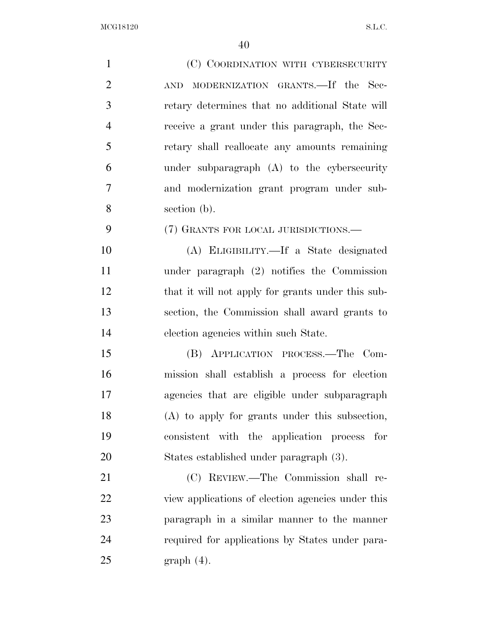| $\mathbf{1}$   | (C) COORDINATION WITH CYBERSECURITY               |
|----------------|---------------------------------------------------|
| $\overline{2}$ | MODERNIZATION GRANTS. If the Sec-<br><b>AND</b>   |
| 3              | retary determines that no additional State will   |
| $\overline{4}$ | receive a grant under this paragraph, the Sec-    |
| 5              | retary shall reallocate any amounts remaining     |
| 6              | under subparagraph (A) to the cybersecurity       |
| $\overline{7}$ | and modernization grant program under sub-        |
| 8              | section (b).                                      |
| 9              | (7) GRANTS FOR LOCAL JURISDICTIONS.—              |
| 10             | (A) ELIGIBILITY.—If a State designated            |
| 11             | under paragraph $(2)$ notifies the Commission     |
| 12             | that it will not apply for grants under this sub- |
| 13             | section, the Commission shall award grants to     |
| 14             | election agencies within such State.              |
| 15             | (B) APPLICATION PROCESS.—The Com-                 |
| 16             | mission shall establish a process for election    |
| 17             | agencies that are eligible under subparagraph     |
| 18             | (A) to apply for grants under this subsection,    |
| 19             | consistent with the application process<br>for    |
| 20             | States established under paragraph (3).           |
| 21             | (C) REVIEW.—The Commission shall re-              |
| 22             | view applications of election agencies under this |
| 23             | paragraph in a similar manner to the manner       |
| 24             | required for applications by States under para-   |
| 25             | $graph(4)$ .                                      |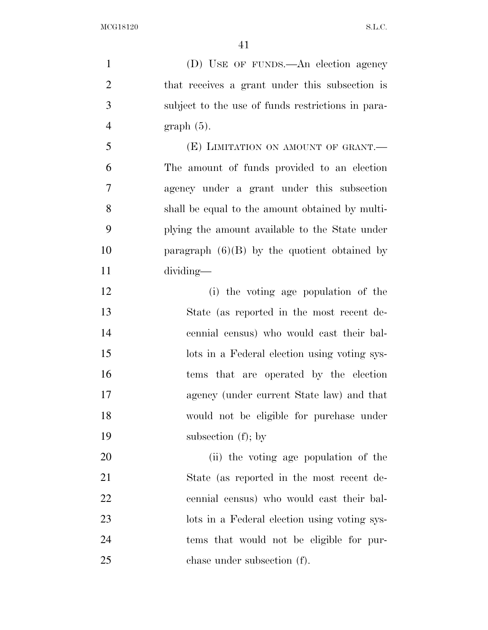(D) USE OF FUNDS.—An election agency that receives a grant under this subsection is subject to the use of funds restrictions in para- graph (5). (E) LIMITATION ON AMOUNT OF GRANT.— The amount of funds provided to an election agency under a grant under this subsection shall be equal to the amount obtained by multi- plying the amount available to the State under 10 paragraph  $(6)(B)$  by the quotient obtained by dividing— (i) the voting age population of the

 State (as reported in the most recent de- cennial census) who would cast their bal- lots in a Federal election using voting sys- tems that are operated by the election agency (under current State law) and that would not be eligible for purchase under subsection (f); by

 (ii) the voting age population of the State (as reported in the most recent de- cennial census) who would cast their bal- lots in a Federal election using voting sys- tems that would not be eligible for pur-chase under subsection (f).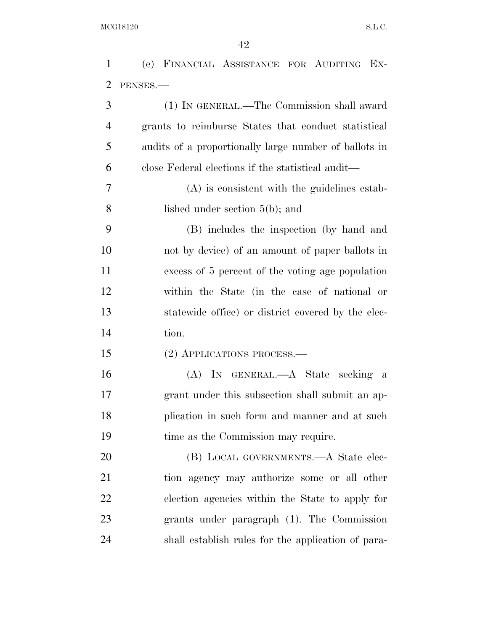|                | 42                                                    |
|----------------|-------------------------------------------------------|
| $\mathbf{1}$   | (e) FINANCIAL ASSISTANCE FOR AUDITING EX-             |
| $\overline{2}$ | PENSES.                                               |
| 3              | (1) IN GENERAL.—The Commission shall award            |
| $\overline{4}$ | grants to reimburse States that conduct statistical   |
| 5              | audits of a proportionally large number of ballots in |
| 6              | close Federal elections if the statistical audit—     |
| 7              | $(A)$ is consistent with the guidelines estab-        |
| 8              | lished under section $5(b)$ ; and                     |
| 9              | (B) includes the inspection (by hand and              |
| 10             | not by device) of an amount of paper ballots in       |
| 11             | excess of 5 percent of the voting age population      |
| 12             | within the State (in the case of national or          |
| 13             | statewide office) or district covered by the elec-    |
| 14             | tion.                                                 |
| 15             | (2) APPLICATIONS PROCESS.—                            |
| 16             | (A) IN GENERAL.—A State seeking<br>- a                |
| 17             | grant under this subsection shall submit an ap-       |
| 18             | plication in such form and manner and at such         |
| 19             | time as the Commission may require.                   |
| 20             | (B) LOCAL GOVERNMENTS.—A State elec-                  |
| 21             | tion agency may authorize some or all other           |
| 22             | election agencies within the State to apply for       |
| 23             | grants under paragraph (1). The Commission            |
| 24             | shall establish rules for the application of para-    |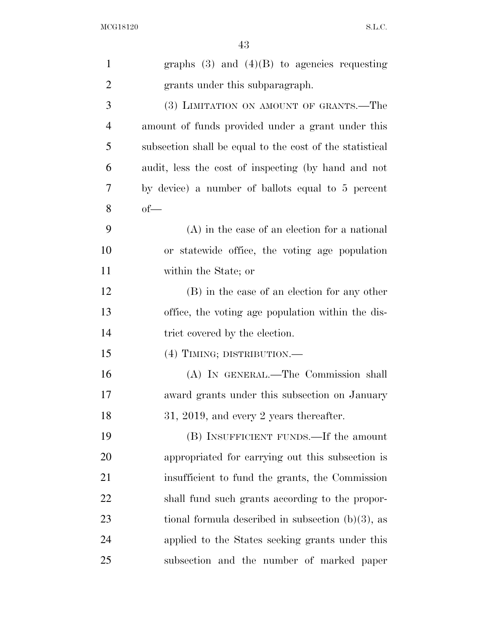| $\mathbf{1}$   | graphs $(3)$ and $(4)(B)$ to agencies requesting         |
|----------------|----------------------------------------------------------|
| $\overline{2}$ | grants under this subparagraph.                          |
| $\mathfrak{Z}$ | (3) LIMITATION ON AMOUNT OF GRANTS.—The                  |
| $\overline{4}$ | amount of funds provided under a grant under this        |
| 5              | subsection shall be equal to the cost of the statistical |
| 6              | audit, less the cost of inspecting (by hand and not      |
| 7              | by device) a number of ballots equal to 5 percent        |
| 8              | $of$ —                                                   |
| 9              | $(A)$ in the case of an election for a national          |
| 10             | or statewide office, the voting age population           |
| 11             | within the State; or                                     |
| 12             | (B) in the case of an election for any other             |
| 13             | office, the voting age population within the dis-        |
| 14             | trict covered by the election.                           |
| 15             | (4) TIMING; DISTRIBUTION.-                               |
| 16             | (A) IN GENERAL.—The Commission shall                     |
| 17             | award grants under this subsection on January            |
| 18             | $31, 2019,$ and every 2 years thereafter.                |
| 19             | (B) INSUFFICIENT FUNDS.—If the amount                    |
| 20             | appropriated for carrying out this subsection is         |
| 21             | insufficient to fund the grants, the Commission          |
| 22             | shall fund such grants according to the propor-          |
| 23             | tional formula described in subsection $(b)(3)$ , as     |
| 24             | applied to the States seeking grants under this          |
| 25             | subsection and the number of marked paper                |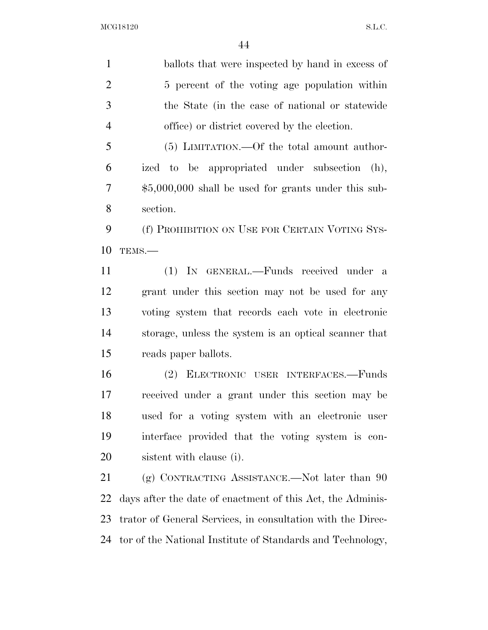ballots that were inspected by hand in excess of 5 percent of the voting age population within the State (in the case of national or statewide office) or district covered by the election.

 (5) LIMITATION.—Of the total amount author- ized to be appropriated under subsection (h), \$5,000,000 shall be used for grants under this sub-section.

9 (f) PROHIBITION ON USE FOR CERTAIN VOTING SYS-TEMS.—

 (1) IN GENERAL.—Funds received under a grant under this section may not be used for any voting system that records each vote in electronic storage, unless the system is an optical scanner that reads paper ballots.

 (2) ELECTRONIC USER INTERFACES.—Funds received under a grant under this section may be used for a voting system with an electronic user interface provided that the voting system is con-sistent with clause (i).

21 (g) CONTRACTING ASSISTANCE.—Not later than 90 days after the date of enactment of this Act, the Adminis- trator of General Services, in consultation with the Direc-tor of the National Institute of Standards and Technology,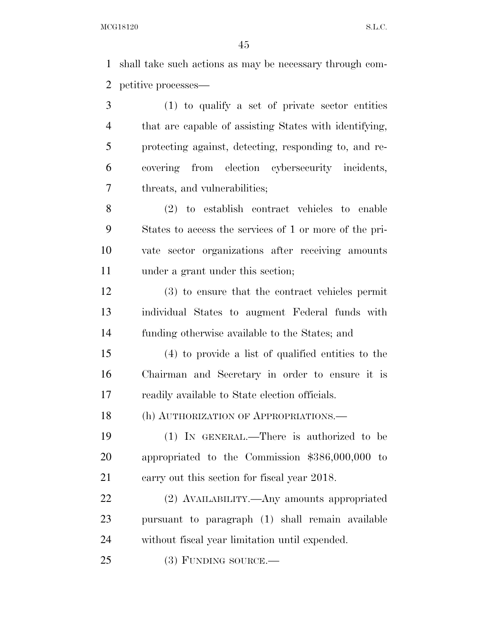shall take such actions as may be necessary through com-petitive processes—

 (1) to qualify a set of private sector entities that are capable of assisting States with identifying, protecting against, detecting, responding to, and re- covering from election cybersecurity incidents, threats, and vulnerabilities;

 (2) to establish contract vehicles to enable States to access the services of 1 or more of the pri- vate sector organizations after receiving amounts under a grant under this section;

 (3) to ensure that the contract vehicles permit individual States to augment Federal funds with funding otherwise available to the States; and

 (4) to provide a list of qualified entities to the Chairman and Secretary in order to ensure it is readily available to State election officials.

18 (h) AUTHORIZATION OF APPROPRIATIONS.—

 (1) IN GENERAL.—There is authorized to be appropriated to the Commission \$386,000,000 to carry out this section for fiscal year 2018.

 (2) AVAILABILITY.—Any amounts appropriated pursuant to paragraph (1) shall remain available without fiscal year limitation until expended.

(3) FUNDING SOURCE.—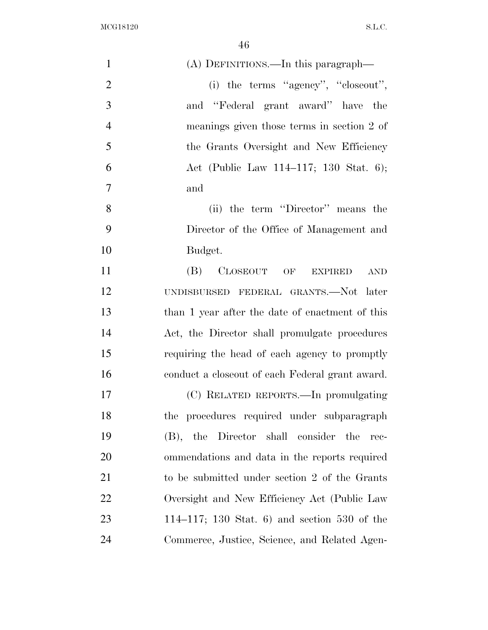$\rm{MCG18120}\qquad \qquad S.L.C.$ 

| $\mathbf{1}$   | (A) DEFINITIONS.—In this paragraph—              |
|----------------|--------------------------------------------------|
| $\overline{2}$ | (i) the terms "agency", "closeout",              |
| 3              | and "Federal grant award" have the               |
| $\overline{4}$ | meanings given those terms in section 2 of       |
| 5              | the Grants Oversight and New Efficiency          |
| 6              | Act (Public Law 114–117; 130 Stat. 6);           |
| $\tau$         | and                                              |
| 8              | (ii) the term "Director" means the               |
| 9              | Director of the Office of Management and         |
| 10             | Budget.                                          |
| 11             | CLOSEOUT OF EXPIRED<br>(B)<br>AND                |
| 12             | UNDISBURSED FEDERAL GRANTS.—Not later            |
| 13             | than 1 year after the date of enactment of this  |
| 14             | Act, the Director shall promulgate procedures    |
| 15             | requiring the head of each agency to promptly    |
| 16             | conduct a close out of each Federal grant award. |
| 17             | (C) RELATED REPORTS.—In promulgating             |
| 18             | the procedures required under subparagraph       |
| 19             | (B), the Director shall consider the<br>rec-     |
| 20             | ommendations and data in the reports required    |
| 21             | to be submitted under section 2 of the Grants    |
| 22             | Oversight and New Efficiency Act (Public Law     |
| 23             | 114–117; 130 Stat. 6) and section 530 of the     |
| 24             | Commerce, Justice, Science, and Related Agen-    |